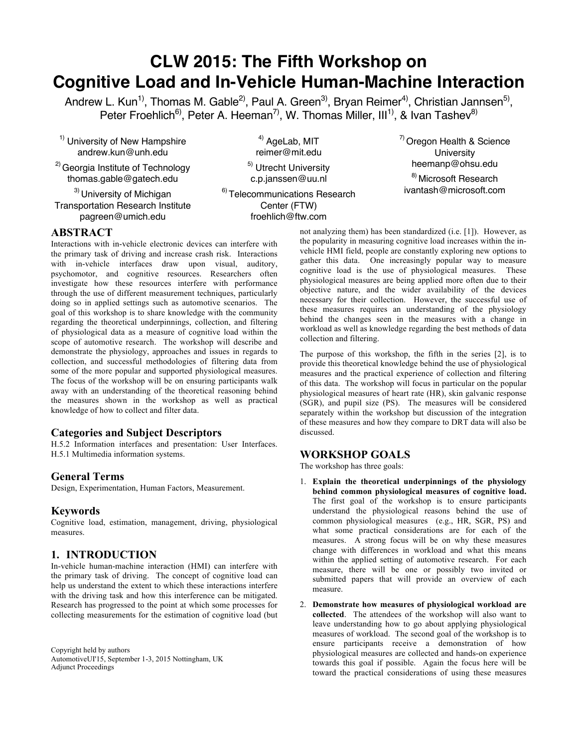# **CLW 2015: The Fifth Workshop on Cognitive Load and In-Vehicle Human-Machine Interaction**

Andrew L. Kun<sup>1)</sup>, Thomas M. Gable<sup>2)</sup>, Paul A. Green<sup>3)</sup>, Bryan Reimer<sup>4)</sup>, Christian Jannsen<sup>5)</sup>, Peter Froehlich<sup>6)</sup>, Peter A. Heeman<sup>7)</sup>, W. Thomas Miller, III<sup>1)</sup>, & Ivan Tashev<sup>8)</sup>

<sup>1)</sup> University of New Hampshire andrew.kun@unh.edu

<sup>2)</sup> Georgia Institute of Technology thomas.gable@gatech.edu

<sup>3)</sup> University of Michigan Transportation Research Institute pagreen@umich.edu

<sup>4)</sup> AgeLab, MIT reimer@mit.edu

<sup>5)</sup> Utrecht University c.p.janssen@uu.nl

6) Telecommunications Research Center (FTW) froehlich@ftw.com

7) Oregon Health & Science **University** heemanp@ohsu.edu 8) Microsoft Research ivantash@microsoft.com

## **ABSTRACT**

Interactions with in-vehicle electronic devices can interfere with the primary task of driving and increase crash risk. Interactions with in-vehicle interfaces draw upon visual, auditory, psychomotor, and cognitive resources. Researchers often investigate how these resources interfere with performance through the use of different measurement techniques, particularly doing so in applied settings such as automotive scenarios. The goal of this workshop is to share knowledge with the community regarding the theoretical underpinnings, collection, and filtering of physiological data as a measure of cognitive load within the scope of automotive research. The workshop will describe and demonstrate the physiology, approaches and issues in regards to collection, and successful methodologies of filtering data from some of the more popular and supported physiological measures. The focus of the workshop will be on ensuring participants walk away with an understanding of the theoretical reasoning behind the measures shown in the workshop as well as practical knowledge of how to collect and filter data.

## **Categories and Subject Descriptors**

H.5.2 Information interfaces and presentation: User Interfaces. H.5.1 Multimedia information systems.

## **General Terms**

Design, Experimentation, Human Factors, Measurement.

## **Keywords**

Cognitive load, estimation, management, driving, physiological measures.

# **1. INTRODUCTION**

In-vehicle human-machine interaction (HMI) can interfere with the primary task of driving. The concept of cognitive load can help us understand the extent to which these interactions interfere with the driving task and how this interference can be mitigated. Research has progressed to the point at which some processes for collecting measurements for the estimation of cognitive load (but

Copyright held by authors AutomotiveUI'15, September 1-3, 2015 Nottingham, UK Adjunct Proceedings

not analyzing them) has been standardized (i.e. [1]). However, as the popularity in measuring cognitive load increases within the invehicle HMI field, people are constantly exploring new options to gather this data. One increasingly popular way to measure cognitive load is the use of physiological measures. These physiological measures are being applied more often due to their objective nature, and the wider availability of the devices necessary for their collection. However, the successful use of these measures requires an understanding of the physiology behind the changes seen in the measures with a change in workload as well as knowledge regarding the best methods of data collection and filtering.

The purpose of this workshop, the fifth in the series [2], is to provide this theoretical knowledge behind the use of physiological measures and the practical experience of collection and filtering of this data. The workshop will focus in particular on the popular physiological measures of heart rate (HR), skin galvanic response (SGR), and pupil size (PS). The measures will be considered separately within the workshop but discussion of the integration of these measures and how they compare to DRT data will also be discussed.

# **WORKSHOP GOALS**

The workshop has three goals:

- 1. **Explain the theoretical underpinnings of the physiology behind common physiological measures of cognitive load.**  The first goal of the workshop is to ensure participants understand the physiological reasons behind the use of common physiological measures (e.g., HR, SGR, PS) and what some practical considerations are for each of the measures. A strong focus will be on why these measures change with differences in workload and what this means within the applied setting of automotive research. For each measure, there will be one or possibly two invited or submitted papers that will provide an overview of each measure.
- 2. **Demonstrate how measures of physiological workload are collected**. The attendees of the workshop will also want to leave understanding how to go about applying physiological measures of workload. The second goal of the workshop is to ensure participants receive a demonstration of how physiological measures are collected and hands-on experience towards this goal if possible. Again the focus here will be toward the practical considerations of using these measures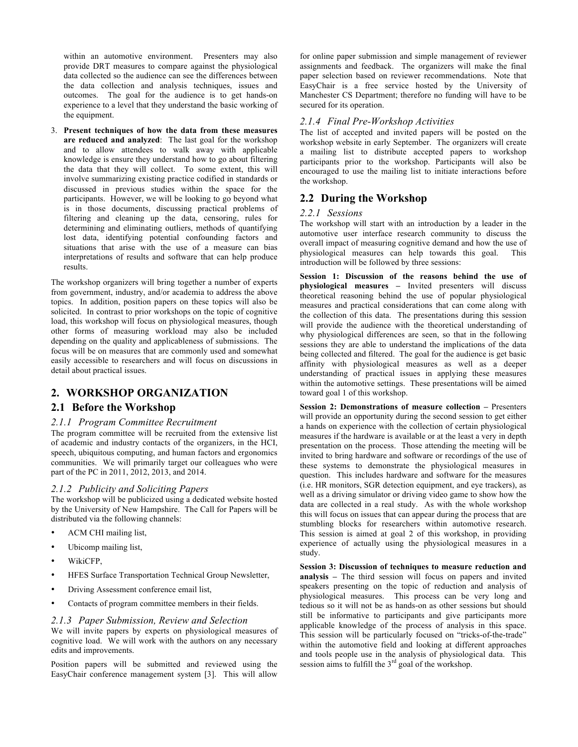within an automotive environment. Presenters may also provide DRT measures to compare against the physiological data collected so the audience can see the differences between the data collection and analysis techniques, issues and outcomes. The goal for the audience is to get hands-on experience to a level that they understand the basic working of the equipment.

3. **Present techniques of how the data from these measures are reduced and analyzed**: The last goal for the workshop and to allow attendees to walk away with applicable knowledge is ensure they understand how to go about filtering the data that they will collect. To some extent, this will involve summarizing existing practice codified in standards or discussed in previous studies within the space for the participants. However, we will be looking to go beyond what is in those documents, discussing practical problems of filtering and cleaning up the data, censoring, rules for determining and eliminating outliers, methods of quantifying lost data, identifying potential confounding factors and situations that arise with the use of a measure can bias interpretations of results and software that can help produce results.

The workshop organizers will bring together a number of experts from government, industry, and/or academia to address the above topics. In addition, position papers on these topics will also be solicited. In contrast to prior workshops on the topic of cognitive load, this workshop will focus on physiological measures, though other forms of measuring workload may also be included depending on the quality and applicableness of submissions. The focus will be on measures that are commonly used and somewhat easily accessible to researchers and will focus on discussions in detail about practical issues.

## **2. WORKSHOP ORGANIZATION**

## **2.1 Before the Workshop**

## *2.1.1 Program Committee Recruitment*

The program committee will be recruited from the extensive list of academic and industry contacts of the organizers, in the HCI, speech, ubiquitous computing, and human factors and ergonomics communities. We will primarily target our colleagues who were part of the PC in 2011, 2012, 2013, and 2014.

## *2.1.2 Publicity and Soliciting Papers*

The workshop will be publicized using a dedicated website hosted by the University of New Hampshire. The Call for Papers will be distributed via the following channels:

- ACM CHI mailing list,
- Ubicomp mailing list,
- WikiCFP,
- HFES Surface Transportation Technical Group Newsletter,
- Driving Assessment conference email list,
- Contacts of program committee members in their fields.

#### *2.1.3 Paper Submission, Review and Selection*

We will invite papers by experts on physiological measures of cognitive load. We will work with the authors on any necessary edits and improvements.

Position papers will be submitted and reviewed using the EasyChair conference management system [3]. This will allow

for online paper submission and simple management of reviewer assignments and feedback. The organizers will make the final paper selection based on reviewer recommendations. Note that EasyChair is a free service hosted by the University of Manchester CS Department; therefore no funding will have to be secured for its operation.

## *2.1.4 Final Pre-Workshop Activities*

The list of accepted and invited papers will be posted on the workshop website in early September. The organizers will create a mailing list to distribute accepted papers to workshop participants prior to the workshop. Participants will also be encouraged to use the mailing list to initiate interactions before the workshop.

## **2.2 During the Workshop**

### *2.2.1 Sessions*

The workshop will start with an introduction by a leader in the automotive user interface research community to discuss the overall impact of measuring cognitive demand and how the use of physiological measures can help towards this goal. This introduction will be followed by three sessions:

**Session 1: Discussion of the reasons behind the use of physiological measures –** Invited presenters will discuss theoretical reasoning behind the use of popular physiological measures and practical considerations that can come along with the collection of this data. The presentations during this session will provide the audience with the theoretical understanding of why physiological differences are seen, so that in the following sessions they are able to understand the implications of the data being collected and filtered. The goal for the audience is get basic affinity with physiological measures as well as a deeper understanding of practical issues in applying these measures within the automotive settings. These presentations will be aimed toward goal 1 of this workshop.

**Session 2: Demonstrations of measure collection –** Presenters will provide an opportunity during the second session to get either a hands on experience with the collection of certain physiological measures if the hardware is available or at the least a very in depth presentation on the process. Those attending the meeting will be invited to bring hardware and software or recordings of the use of these systems to demonstrate the physiological measures in question. This includes hardware and software for the measures (i.e. HR monitors, SGR detection equipment, and eye trackers), as well as a driving simulator or driving video game to show how the data are collected in a real study. As with the whole workshop this will focus on issues that can appear during the process that are stumbling blocks for researchers within automotive research. This session is aimed at goal 2 of this workshop, in providing experience of actually using the physiological measures in a study.

**Session 3: Discussion of techniques to measure reduction and analysis –** The third session will focus on papers and invited speakers presenting on the topic of reduction and analysis of physiological measures. This process can be very long and tedious so it will not be as hands-on as other sessions but should still be informative to participants and give participants more applicable knowledge of the process of analysis in this space. This session will be particularly focused on "tricks-of-the-trade" within the automotive field and looking at different approaches and tools people use in the analysis of physiological data. This session aims to fulfill the 3<sup>rd</sup> goal of the workshop.